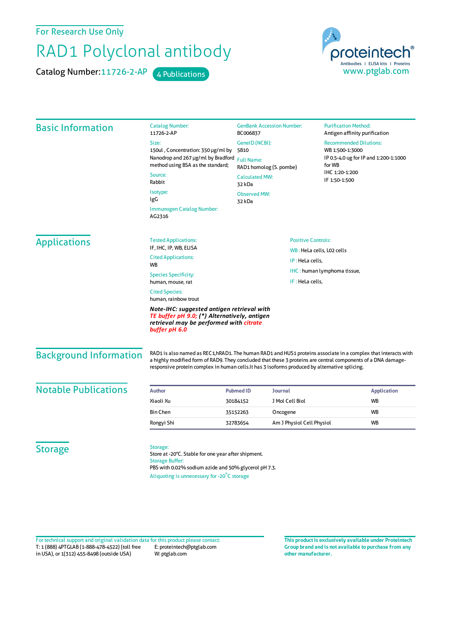For Research Use Only

## RAD1 Polyclonal antibody

Catalog Number: 11726-2-AP 4 Publications



| <b>Basic Information</b>                                                                                                                               | <b>Catalog Number:</b><br>11726-2-AP                                                                                                              | <b>GenBank Accession Number:</b><br>BC006837<br>GeneID (NCBI):<br>5810<br><b>Full Name:</b><br>RAD1 homolog (S. pombe)<br><b>Calculated MW:</b><br>32 kDa<br><b>Observed MW:</b><br>32 kDa |                           | <b>Purification Method:</b><br>Antigen affinity purification                                                                                                                                                                   |                                     |                                                                           |  |
|--------------------------------------------------------------------------------------------------------------------------------------------------------|---------------------------------------------------------------------------------------------------------------------------------------------------|--------------------------------------------------------------------------------------------------------------------------------------------------------------------------------------------|---------------------------|--------------------------------------------------------------------------------------------------------------------------------------------------------------------------------------------------------------------------------|-------------------------------------|---------------------------------------------------------------------------|--|
|                                                                                                                                                        | Size:                                                                                                                                             |                                                                                                                                                                                            |                           | <b>Recommended Dilutions:</b><br>WB 1:500-1:3000<br>IP 0.5-4.0 ug for IP and 1:200-1:1000<br>for WB<br>IHC 1:20-1:200<br>IF 1:50-1:500                                                                                         |                                     |                                                                           |  |
|                                                                                                                                                        | 150ul, Concentration: 350 µg/ml by<br>Nanodrop and 267 µg/ml by Bradford<br>method using BSA as the standard;<br>Source:<br>Rabbit                |                                                                                                                                                                                            |                           |                                                                                                                                                                                                                                |                                     |                                                                           |  |
|                                                                                                                                                        |                                                                                                                                                   |                                                                                                                                                                                            |                           |                                                                                                                                                                                                                                | Isotype:<br>IgG                     |                                                                           |  |
|                                                                                                                                                        |                                                                                                                                                   |                                                                                                                                                                                            |                           |                                                                                                                                                                                                                                | Immunogen Catalog Number:<br>AG2316 |                                                                           |  |
|                                                                                                                                                        | <b>Applications</b>                                                                                                                               |                                                                                                                                                                                            |                           |                                                                                                                                                                                                                                | <b>Tested Applications:</b>         | <b>Positive Controls:</b><br>WB: HeLa cells, LO2 cells<br>IP: HeLa cells, |  |
|                                                                                                                                                        |                                                                                                                                                   |                                                                                                                                                                                            |                           | IF, IHC, IP, WB, ELISA                                                                                                                                                                                                         |                                     |                                                                           |  |
| <b>Cited Applications:</b><br><b>WB</b>                                                                                                                |                                                                                                                                                   |                                                                                                                                                                                            |                           |                                                                                                                                                                                                                                |                                     |                                                                           |  |
| <b>Species Specificity:</b>                                                                                                                            |                                                                                                                                                   |                                                                                                                                                                                            |                           | IHC: human lymphoma tissue,                                                                                                                                                                                                    |                                     |                                                                           |  |
| human, mouse, rat                                                                                                                                      |                                                                                                                                                   | IF: HeLa cells,                                                                                                                                                                            |                           |                                                                                                                                                                                                                                |                                     |                                                                           |  |
| <b>Cited Species:</b><br>human, rainbow trout                                                                                                          |                                                                                                                                                   |                                                                                                                                                                                            |                           |                                                                                                                                                                                                                                |                                     |                                                                           |  |
| Note-IHC: suggested antigen retrieval with<br>TE buffer pH 9.0; (*) Alternatively, antigen<br>retrieval may be performed with citrate<br>buffer pH 6.0 |                                                                                                                                                   |                                                                                                                                                                                            |                           |                                                                                                                                                                                                                                |                                     |                                                                           |  |
| <b>Background Information</b>                                                                                                                          | responsive protein complex in human cells. It has 3 isoforms produced by alternative splicing.                                                    |                                                                                                                                                                                            |                           | RAD1 is also named as REC1, hRAD1. The human RAD1 and HUS1 proteins associate in a complex that interacts with<br>a highly modified form of RAD9. They concluded that these 3 proteins are central components of a DNA damage- |                                     |                                                                           |  |
| <b>Notable Publications</b>                                                                                                                            | <b>Author</b>                                                                                                                                     | <b>Pubmed ID</b><br>Journal                                                                                                                                                                |                           | <b>Application</b>                                                                                                                                                                                                             |                                     |                                                                           |  |
|                                                                                                                                                        | Xiaoli Xu                                                                                                                                         | 30184152                                                                                                                                                                                   | J Mol Cell Biol           | <b>WB</b>                                                                                                                                                                                                                      |                                     |                                                                           |  |
|                                                                                                                                                        | <b>Bin Chen</b>                                                                                                                                   | 35152263<br>Oncogene                                                                                                                                                                       |                           | <b>WB</b>                                                                                                                                                                                                                      |                                     |                                                                           |  |
|                                                                                                                                                        | Rongyi Shi                                                                                                                                        | 32783654                                                                                                                                                                                   | Am J Physiol Cell Physiol | <b>WB</b>                                                                                                                                                                                                                      |                                     |                                                                           |  |
| <b>Storage</b>                                                                                                                                         | Storage:<br>Store at -20°C. Stable for one year after shipment.<br><b>Storage Buffer:</b><br>PBS with 0.02% sodium azide and 50% glycerol pH 7.3. |                                                                                                                                                                                            |                           |                                                                                                                                                                                                                                |                                     |                                                                           |  |

Aliquoting is unnecessary for -20<sup>°</sup>C storage

T: 1 (888) 4PTGLAB (1-888-478-4522) (toll free in USA), or 1(312) 455-8498 (outside USA) E: proteintech@ptglab.com W: ptglab.com Fortechnical support and original validation data forthis product please contact: **This productis exclusively available under Proteintech**

**Group brand and is not available to purchase from any other manufacturer.**